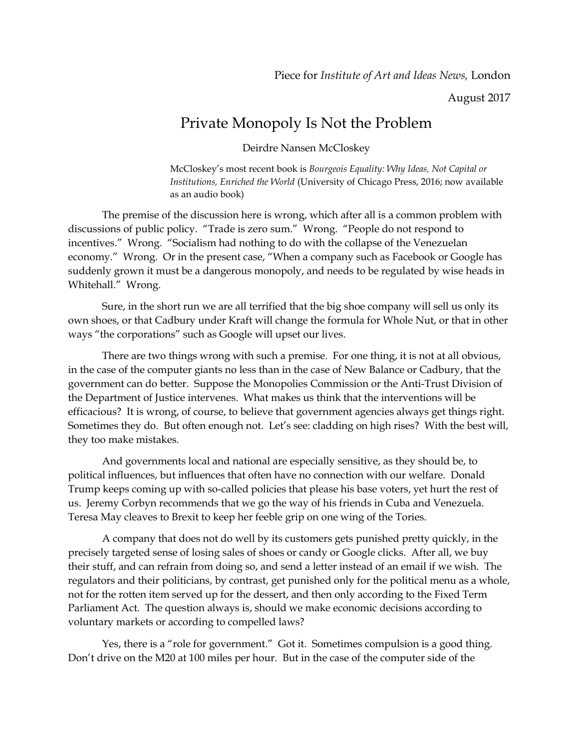August 2017

## Private Monopoly Is Not the Problem

Deirdre Nansen McCloskey

McCloskey's most recent book is *Bourgeois Equality: Why Ideas, Not Capital or Institutions, Enriched the World* (University of Chicago Press, 2016; now available as an audio book)

The premise of the discussion here is wrong, which after all is a common problem with discussions of public policy. "Trade is zero sum." Wrong. "People do not respond to incentives." Wrong. "Socialism had nothing to do with the collapse of the Venezuelan economy." Wrong. Or in the present case, "When a company such as Facebook or Google has suddenly grown it must be a dangerous monopoly, and needs to be regulated by wise heads in Whitehall." Wrong.

Sure, in the short run we are all terrified that the big shoe company will sell us only its own shoes, or that Cadbury under Kraft will change the formula for Whole Nut, or that in other ways "the corporations" such as Google will upset our lives.

There are two things wrong with such a premise. For one thing, it is not at all obvious, in the case of the computer giants no less than in the case of New Balance or Cadbury, that the government can do better. Suppose the Monopolies Commission or the Anti-Trust Division of the Department of Justice intervenes. What makes us think that the interventions will be efficacious? It is wrong, of course, to believe that government agencies always get things right. Sometimes they do. But often enough not. Let's see: cladding on high rises? With the best will, they too make mistakes.

And governments local and national are especially sensitive, as they should be, to political influences, but influences that often have no connection with our welfare. Donald Trump keeps coming up with so-called policies that please his base voters, yet hurt the rest of us. Jeremy Corbyn recommends that we go the way of his friends in Cuba and Venezuela. Teresa May cleaves to Brexit to keep her feeble grip on one wing of the Tories.

A company that does not do well by its customers gets punished pretty quickly, in the precisely targeted sense of losing sales of shoes or candy or Google clicks. After all, we buy their stuff, and can refrain from doing so, and send a letter instead of an email if we wish. The regulators and their politicians, by contrast, get punished only for the political menu as a whole, not for the rotten item served up for the dessert, and then only according to the Fixed Term Parliament Act. The question always is, should we make economic decisions according to voluntary markets or according to compelled laws?

Yes, there is a "role for government." Got it. Sometimes compulsion is a good thing. Don't drive on the M20 at 100 miles per hour. But in the case of the computer side of the